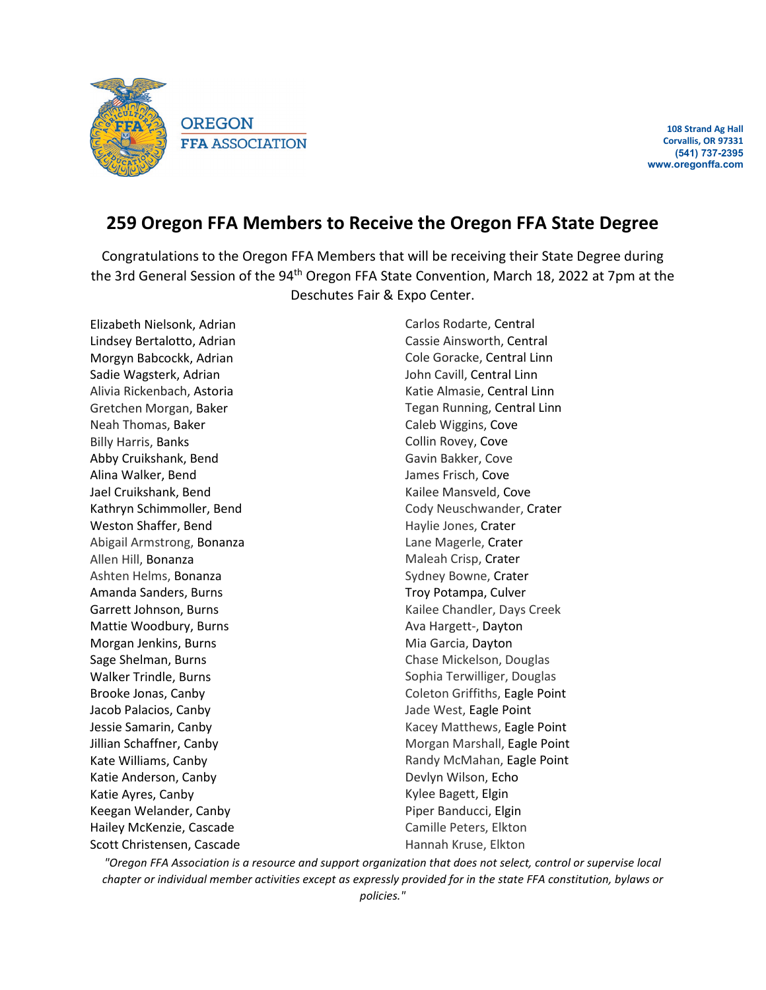

**108 Strand Ag Hall Corvallis, OR 97331 (541) 737-2395 www.oregonffa.com**

## **259 Oregon FFA Members to Receive the Oregon FFA State Degree**

Congratulations to the Oregon FFA Members that will be receiving their State Degree during the 3rd General Session of the 94<sup>th</sup> Oregon FFA State Convention, March 18, 2022 at 7pm at the Deschutes Fair & Expo Center.

Elizabeth Nielsonk, Adrian Lindsey Bertalotto, Adrian Morgyn Babcockk, Adrian Sadie Wagsterk, Adrian Alivia Rickenbach, Astoria Gretchen Morgan, Baker Neah Thomas, Baker Billy Harris, Banks Abby Cruikshank, Bend Alina Walker, Bend Jael Cruikshank, Bend Kathryn Schimmoller, Bend Weston Shaffer, Bend Abigail Armstrong, Bonanza Allen Hill, Bonanza Ashten Helms, Bonanza Amanda Sanders, Burns Garrett Johnson, Burns Mattie Woodbury, Burns Morgan Jenkins, Burns Sage Shelman, Burns Walker Trindle, Burns Brooke Jonas, Canby Jacob Palacios, Canby Jessie Samarin, Canby Jillian Schaffner, Canby Kate Williams, Canby Katie Anderson, Canby Katie Ayres, Canby Keegan Welander, Canby Hailey McKenzie, Cascade Scott Christensen, Cascade

Carlos Rodarte, Central Cassie Ainsworth, Central Cole Goracke, Central Linn John Cavill, Central Linn Katie Almasie, Central Linn Tegan Running, Central Linn Caleb Wiggins, Cove Collin Rovey, Cove Gavin Bakker, Cove James Frisch, Cove Kailee Mansveld, Cove Cody Neuschwander, Crater Haylie Jones, Crater Lane Magerle, Crater Maleah Crisp, Crater Sydney Bowne, Crater Troy Potampa, Culver Kailee Chandler, Days Creek Ava Hargett-, Dayton Mia Garcia, Dayton Chase Mickelson, Douglas Sophia Terwilliger, Douglas Coleton Griffiths, Eagle Point Jade West, Eagle Point Kacey Matthews, Eagle Point Morgan Marshall, Eagle Point Randy McMahan, Eagle Point Devlyn Wilson, Echo Kylee Bagett, Elgin Piper Banducci, Elgin Camille Peters, Elkton Hannah Kruse, Elkton

*"Oregon FFA Association is a resource and support organization that does not select, control or supervise local chapter or individual member activities except as expressly provided for in the state FFA constitution, bylaws or policies."*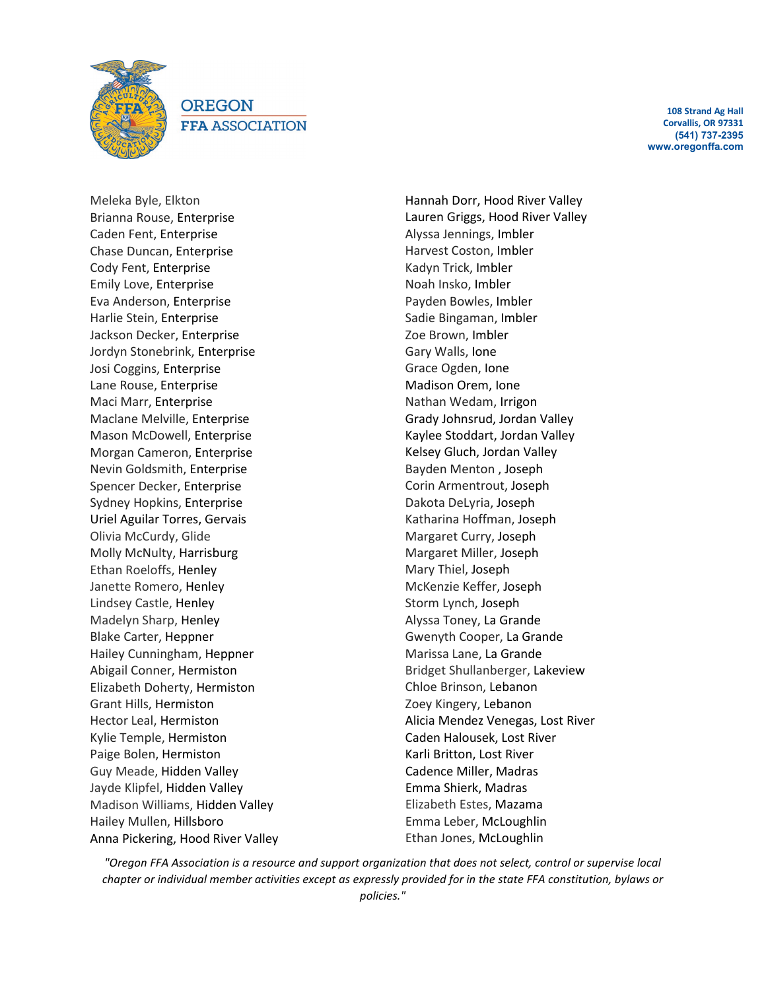

**OREGON FFA ASSOCIATION** 

**108 Strand Ag Hall Corvallis, OR 97331 (541) 737-2395 www.oregonffa.com**

Meleka Byle, Elkton Brianna Rouse, Enterprise Caden Fent, Enterprise Chase Duncan, Enterprise Cody Fent, Enterprise Emily Love, Enterprise Eva Anderson, Enterprise Harlie Stein, Enterprise Jackson Decker, Enterprise Jordyn Stonebrink, Enterprise Josi Coggins, Enterprise Lane Rouse, Enterprise Maci Marr, Enterprise Maclane Melville, Enterprise Mason McDowell, Enterprise Morgan Cameron, Enterprise Nevin Goldsmith, Enterprise Spencer Decker, Enterprise Sydney Hopkins, Enterprise Uriel Aguilar Torres, Gervais Olivia McCurdy, Glide Molly McNulty, Harrisburg Ethan Roeloffs, Henley Janette Romero, Henley Lindsey Castle, Henley Madelyn Sharp, Henley Blake Carter, Heppner Hailey Cunningham, Heppner Abigail Conner, Hermiston Elizabeth Doherty, Hermiston Grant Hills, Hermiston Hector Leal, Hermiston Kylie Temple, Hermiston Paige Bolen, Hermiston Guy Meade, Hidden Valley Jayde Klipfel, Hidden Valley Madison Williams, Hidden Valley Hailey Mullen, Hillsboro Anna Pickering, Hood River Valley Hannah Dorr, Hood River Valley Lauren Griggs, Hood River Valley Alyssa Jennings, Imbler Harvest Coston, Imbler Kadyn Trick, Imbler Noah Insko, Imbler Payden Bowles, Imbler Sadie Bingaman, Imbler Zoe Brown, Imbler Gary Walls, Ione Grace Ogden, Ione Madison Orem, Ione Nathan Wedam, Irrigon Grady Johnsrud, Jordan Valley Kaylee Stoddart, Jordan Valley Kelsey Gluch, Jordan Valley Bayden Menton , Joseph Corin Armentrout, Joseph Dakota DeLyria, Joseph Katharina Hoffman, Joseph Margaret Curry, Joseph Margaret Miller, Joseph Mary Thiel, Joseph McKenzie Keffer, Joseph Storm Lynch, Joseph Alyssa Toney, La Grande Gwenyth Cooper, La Grande Marissa Lane, La Grande Bridget Shullanberger, Lakeview Chloe Brinson, Lebanon Zoey Kingery, Lebanon Alicia Mendez Venegas, Lost River Caden Halousek, Lost River Karli Britton, Lost River Cadence Miller, Madras Emma Shierk, Madras Elizabeth Estes, Mazama Emma Leber, McLoughlin Ethan Jones, McLoughlin

*"Oregon FFA Association is a resource and support organization that does not select, control or supervise local chapter or individual member activities except as expressly provided for in the state FFA constitution, bylaws or*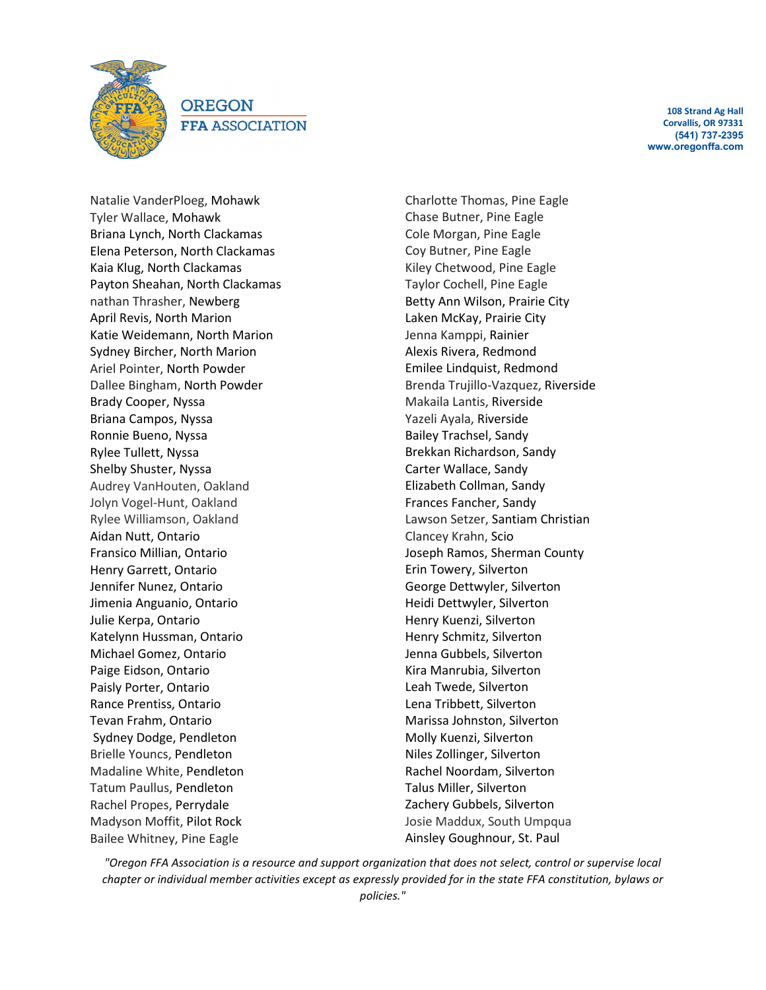

**OREGON FFA ASSOCIATION** 

**108 Strand Ag Hall Corvallis, OR 97331 (541) 737-2395 www.oregonffa.com**

Natalie VanderPloeg, Mohawk Tyler Wallace, Mohawk Briana Lynch, North Clackamas Elena Peterson, North Clackamas Kaia Klug, North Clackamas Payton Sheahan, North Clackamas nathan Thrasher, Newberg April Revis, North Marion Katie Weidemann, North Marion Sydney Bircher, North Marion Ariel Pointer, North Powder Dallee Bingham, North Powder Brady Cooper, Nyssa Briana Campos, Nyssa Ronnie Bueno, Nyssa Rylee Tullett, Nyssa Shelby Shuster, Nyssa Audrey VanHouten, Oakland Jolyn Vogel-Hunt, Oakland Rylee Williamson, Oakland Aidan Nutt, Ontario Fransico Millian, Ontario Henry Garrett, Ontario Jennifer Nunez, Ontario Jimenia Anguanio, Ontario Julie Kerpa, Ontario Katelynn Hussman, Ontario Michael Gomez, Ontario Paige Eidson, Ontario Paisly Porter, Ontario Rance Prentiss, Ontario Tevan Frahm, Ontario Sydney Dodge, Pendleton Brielle Youncs, Pendleton Madaline White, Pendleton Tatum Paullus, Pendleton Rachel Propes, Perrydale Madyson Moffit, Pilot Rock Bailee Whitney, Pine Eagle

Charlotte Thomas, Pine Eagle Chase Butner, Pine Eagle Cole Morgan, Pine Eagle Coy Butner, Pine Eagle Kiley Chetwood, Pine Eagle Taylor Cochell, Pine Eagle Betty Ann Wilson, Prairie City Laken McKay, Prairie City Jenna Kamppi, Rainier Alexis Rivera, Redmond Emilee Lindquist, Redmond Brenda Trujillo-Vazquez, Riverside Makaila Lantis, Riverside Yazeli Ayala, Riverside Bailey Trachsel, Sandy Brekkan Richardson, Sandy Carter Wallace, Sandy Elizabeth Collman, Sandy Frances Fancher, Sandy Lawson Setzer, Santiam Christian Clancey Krahn, Scio Joseph Ramos, Sherman County Erin Towery, Silverton George Dettwyler, Silverton Heidi Dettwyler, Silverton Henry Kuenzi, Silverton Henry Schmitz, Silverton Jenna Gubbels, Silverton Kira Manrubia, Silverton Leah Twede, Silverton Lena Tribbett, Silverton Marissa Johnston, Silverton Molly Kuenzi, Silverton Niles Zollinger, Silverton Rachel Noordam, Silverton Talus Miller, Silverton Zachery Gubbels, Silverton Josie Maddux, South Umpqua Ainsley Goughnour, St. Paul

*"Oregon FFA Association is a resource and support organization that does not select, control or supervise local chapter or individual member activities except as expressly provided for in the state FFA constitution, bylaws or policies."*